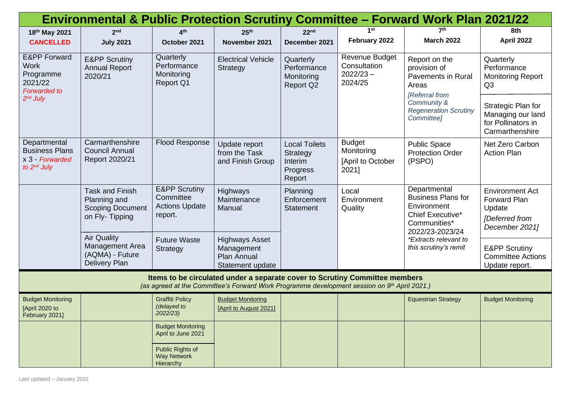| <b>Environmental &amp; Public Protection Scrutiny Committee - Forward Work Plan 2021/22</b>                                                                                 |                                                                                     |                                                                           |                                                                        |                                                                   |                                                                 |                                                                                                                                                                   |                                                                                                    |
|-----------------------------------------------------------------------------------------------------------------------------------------------------------------------------|-------------------------------------------------------------------------------------|---------------------------------------------------------------------------|------------------------------------------------------------------------|-------------------------------------------------------------------|-----------------------------------------------------------------|-------------------------------------------------------------------------------------------------------------------------------------------------------------------|----------------------------------------------------------------------------------------------------|
| 18th May 2021                                                                                                                                                               | 2 <sub>nd</sub>                                                                     | $\mathbf{A}^{\text{th}}$                                                  | 25 <sup>th</sup>                                                       | 22 <sup>nd</sup>                                                  | 1st                                                             | 7 <sup>th</sup>                                                                                                                                                   | 8th                                                                                                |
| <b>CANCELLED</b>                                                                                                                                                            | <b>July 2021</b>                                                                    | October 2021                                                              | November 2021                                                          | December 2021                                                     | February 2022                                                   | <b>March 2022</b>                                                                                                                                                 | <b>April 2022</b>                                                                                  |
| <b>E&amp;PP Forward</b><br><b>Work</b><br>Programme<br>2021/22<br><b>Forwarded to</b><br>$2nd$ July                                                                         | <b>E&amp;PP Scrutiny</b><br><b>Annual Report</b><br>2020/21                         | Quarterly<br>Performance<br>Monitoring<br><b>Report Q1</b>                | <b>Electrical Vehicle</b><br>Strategy                                  | Quarterly<br>Performance<br>Monitoring<br><b>Report Q2</b>        | <b>Revenue Budget</b><br>Consultation<br>$2022/23 -$<br>2024/25 | Report on the<br>provision of<br><b>Pavements in Rural</b><br>Areas<br>[Referral from<br>Community &<br><b>Regeneration Scrutiny</b><br>Committee]                | Quarterly<br>Performance<br><b>Monitoring Report</b><br>Q <sub>3</sub>                             |
|                                                                                                                                                                             |                                                                                     |                                                                           |                                                                        |                                                                   |                                                                 |                                                                                                                                                                   | Strategic Plan for<br>Managing our land<br>for Pollinators in<br>Carmarthenshire                   |
| Departmental<br><b>Business Plans</b><br>x 3 - Forwarded<br>to 2 <sup>nd</sup> July                                                                                         | Carmarthenshire<br><b>Council Annual</b><br>Report 2020/21                          | <b>Flood Response</b>                                                     | Update report<br>from the Task<br>and Finish Group                     | <b>Local Toilets</b><br>Strategy<br>Interim<br>Progress<br>Report | <b>Budget</b><br>Monitoring<br>[April to October<br>2021]       | <b>Public Space</b><br><b>Protection Order</b><br>(PSPO)                                                                                                          | Net Zero Carbon<br><b>Action Plan</b>                                                              |
|                                                                                                                                                                             | <b>Task and Finish</b><br>Planning and<br><b>Scoping Document</b><br>on Fly-Tipping | <b>E&amp;PP Scrutiny</b><br>Committee<br><b>Actions Update</b><br>report. | Highways<br>Maintenance<br>Manual                                      | Planning<br>Enforcement<br><b>Statement</b>                       | Local<br>Environment<br>Quality                                 | Departmental<br><b>Business Plans for</b><br>Environment<br>Chief Executive*<br>Communities*<br>2022/23-2023/24<br>*Extracts relevant to<br>this scrutiny's remit | <b>Environment Act</b><br><b>Forward Plan</b><br>Update<br><b>IDeferred</b> from<br>December 2021] |
|                                                                                                                                                                             | <b>Air Quality</b><br>Management Area<br>(AQMA) - Future<br><b>Delivery Plan</b>    | <b>Future Waste</b><br>Strategy                                           | <b>Highways Asset</b><br>Management<br>Plan Annual<br>Statement update |                                                                   |                                                                 |                                                                                                                                                                   | <b>E&amp;PP Scrutiny</b><br><b>Committee Actions</b><br>Update report.                             |
| Items to be circulated under a separate cover to Scrutiny Committee members<br>(as agreed at the Committee's Forward Work Programme development session on 9th April 2021.) |                                                                                     |                                                                           |                                                                        |                                                                   |                                                                 |                                                                                                                                                                   |                                                                                                    |
| <b>Budget Monitoring</b><br>[April 2020 to<br>February 2021]                                                                                                                |                                                                                     | <b>Graffiti Policy</b><br>(delayed to<br>2022/23)                         | <b>Budget Monitoring</b><br>[April to August 2021]                     |                                                                   |                                                                 | <b>Equestrian Strategy</b>                                                                                                                                        | <b>Budget Monitoring</b>                                                                           |
|                                                                                                                                                                             |                                                                                     | <b>Budget Monitoring</b><br>April to June 2021                            |                                                                        |                                                                   |                                                                 |                                                                                                                                                                   |                                                                                                    |
|                                                                                                                                                                             |                                                                                     | Public Rights of<br><b>Way Network</b><br>Hierarchy                       |                                                                        |                                                                   |                                                                 |                                                                                                                                                                   |                                                                                                    |